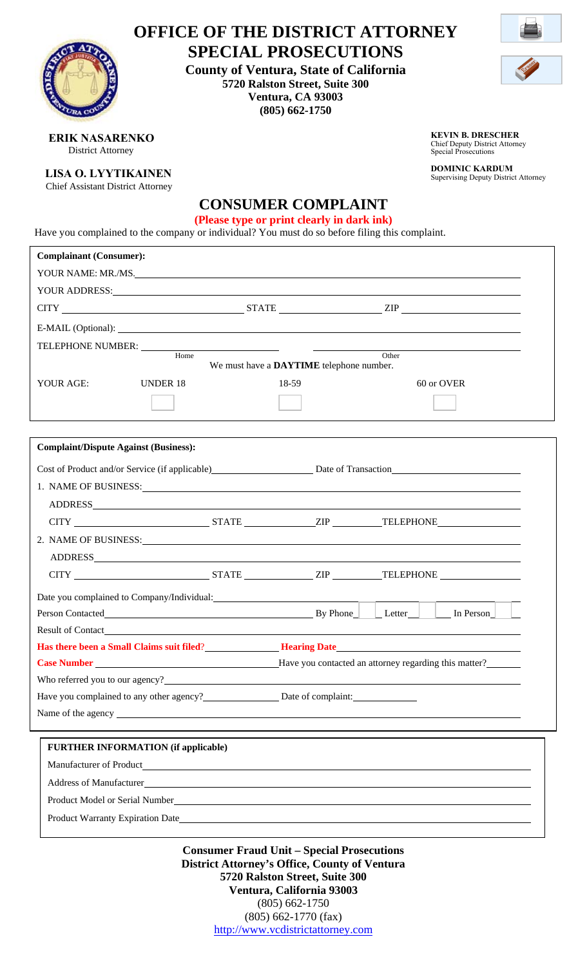|                                                                                                                                                                                                                                      | <b>OFFICE OF THE DISTRICT ATTORNEY</b>   |       |                                                                                                  |       |                                                                      |  |
|--------------------------------------------------------------------------------------------------------------------------------------------------------------------------------------------------------------------------------------|------------------------------------------|-------|--------------------------------------------------------------------------------------------------|-------|----------------------------------------------------------------------|--|
| <b>SPECIAL PROSECUTIONS</b><br><b>County of Ventura, State of California</b><br>5720 Ralston Street, Suite 300<br>Ventura, CA 93003<br>$(805) 662 - 1750$                                                                            |                                          |       |                                                                                                  |       |                                                                      |  |
| <b>ERIK NASARENKO</b><br><b>District Attorney</b>                                                                                                                                                                                    |                                          |       | <b>KEVIN B. DRESCHER</b><br><b>Chief Deputy District Attorney</b><br><b>Special Prosecutions</b> |       |                                                                      |  |
| <b>LISA O. LYYTIKAINEN</b><br><b>Chief Assistant District Attorney</b>                                                                                                                                                               |                                          |       | <b>CONSUMER COMPLAINT</b>                                                                        |       | <b>DOMINIC KARDUM</b><br><b>Supervising Deputy District Attorney</b> |  |
| Have you complained to the company or individual? You must do so before filing this complaint.                                                                                                                                       |                                          |       | (Please type or print clearly in dark ink)                                                       |       |                                                                      |  |
| <b>Complainant (Consumer):</b>                                                                                                                                                                                                       |                                          |       |                                                                                                  |       |                                                                      |  |
| YOUR NAME: MR./MS.                                                                                                                                                                                                                   |                                          |       |                                                                                                  |       |                                                                      |  |
| YOUR ADDRESS: Note to the second contract of the second contract of the second contract of the second contract of the second contract of the second contract of the second contract of the second contract of the second contr       |                                          |       |                                                                                                  |       |                                                                      |  |
|                                                                                                                                                                                                                                      |                                          |       |                                                                                                  |       |                                                                      |  |
|                                                                                                                                                                                                                                      |                                          |       |                                                                                                  |       |                                                                      |  |
| TELEPHONE NUMBER: University of the set of the set of the set of the set of the set of the set of the set of the set of the set of the set of the set of the set of the set of the set of the set of the set of the set of the       |                                          |       |                                                                                                  |       |                                                                      |  |
|                                                                                                                                                                                                                                      | Home                                     |       | We must have a DAYTIME telephone number.                                                         | Other |                                                                      |  |
| YOUR AGE:                                                                                                                                                                                                                            | <b>UNDER 18</b>                          | 18-59 |                                                                                                  |       | 60 or OVER                                                           |  |
|                                                                                                                                                                                                                                      |                                          |       |                                                                                                  |       |                                                                      |  |
|                                                                                                                                                                                                                                      |                                          |       |                                                                                                  |       |                                                                      |  |
|                                                                                                                                                                                                                                      |                                          |       |                                                                                                  |       |                                                                      |  |
| <b>Complaint/Dispute Against (Business):</b>                                                                                                                                                                                         |                                          |       |                                                                                                  |       |                                                                      |  |
| Cost of Product and/or Service (if applicable) Date of Transaction                                                                                                                                                                   |                                          |       |                                                                                                  |       |                                                                      |  |
| 1. NAME OF BUSINESS: Universe of the Second Line of the Second Line of the Second Line of the Second Line of the Second Line of the Second Line of the Second Line of the Second Line of the Second Line of the Second Line of       |                                          |       |                                                                                                  |       |                                                                      |  |
|                                                                                                                                                                                                                                      |                                          |       |                                                                                                  |       |                                                                      |  |
|                                                                                                                                                                                                                                      |                                          |       |                                                                                                  |       |                                                                      |  |
| 2. NAME OF BUSINESS: Universe of the Second Second Second Second Second Second Second Second Second Second Second Second Second Second Second Second Second Second Second Second Second Second Second Second Second Second Sec       |                                          |       |                                                                                                  |       |                                                                      |  |
|                                                                                                                                                                                                                                      |                                          |       |                                                                                                  |       |                                                                      |  |
|                                                                                                                                                                                                                                      |                                          |       |                                                                                                  |       |                                                                      |  |
| Date you complained to Company/Individual: 2002 2012 2022 2023 2024 2022 2023 2024 2022 2023 2024 2022 2023 20                                                                                                                       |                                          |       |                                                                                                  |       |                                                                      |  |
| Person Contacted <u>Letter Letter Letter Letter Letter Letter Letter Letter Letter Letter Letter Letter Letter Letter Letter Letter Letter Letter Letter Letter Letter Letter Letter Letter Letter Letter Letter Letter Letter L</u> |                                          |       |                                                                                                  |       |                                                                      |  |
|                                                                                                                                                                                                                                      |                                          |       |                                                                                                  |       |                                                                      |  |
| <b>Has there been a Small Claims suit filed? Hearing Date Hearing Date Hearing Date</b>                                                                                                                                              |                                          |       |                                                                                                  |       |                                                                      |  |
|                                                                                                                                                                                                                                      |                                          |       |                                                                                                  |       |                                                                      |  |
|                                                                                                                                                                                                                                      |                                          |       |                                                                                                  |       |                                                                      |  |
| Have you complained to any other agency? Date of complaint:                                                                                                                                                                          |                                          |       |                                                                                                  |       |                                                                      |  |
|                                                                                                                                                                                                                                      |                                          |       |                                                                                                  |       |                                                                      |  |
| <b>FURTHER INFORMATION (if applicable)</b>                                                                                                                                                                                           |                                          |       |                                                                                                  |       |                                                                      |  |
|                                                                                                                                                                                                                                      |                                          |       |                                                                                                  |       |                                                                      |  |
| Address of Manufacturer and the state of the state of the state of the state of Manufacturer                                                                                                                                         |                                          |       |                                                                                                  |       |                                                                      |  |
|                                                                                                                                                                                                                                      |                                          |       |                                                                                                  |       |                                                                      |  |
|                                                                                                                                                                                                                                      |                                          |       |                                                                                                  |       |                                                                      |  |
|                                                                                                                                                                                                                                      |                                          |       |                                                                                                  |       |                                                                      |  |
|                                                                                                                                                                                                                                      | Consumor Froud Unit Special Prosecutions |       |                                                                                                  |       |                                                                      |  |

**Consumer Fraud Unit – Special Prosecutions District Attorney's Office, County of Ventura 5720 Ralston Street, Suite 300 Ventura, California 93003**  (805) 662-1750 (805) 662-1770 (fax) http://www.vcdistrictattorney.com